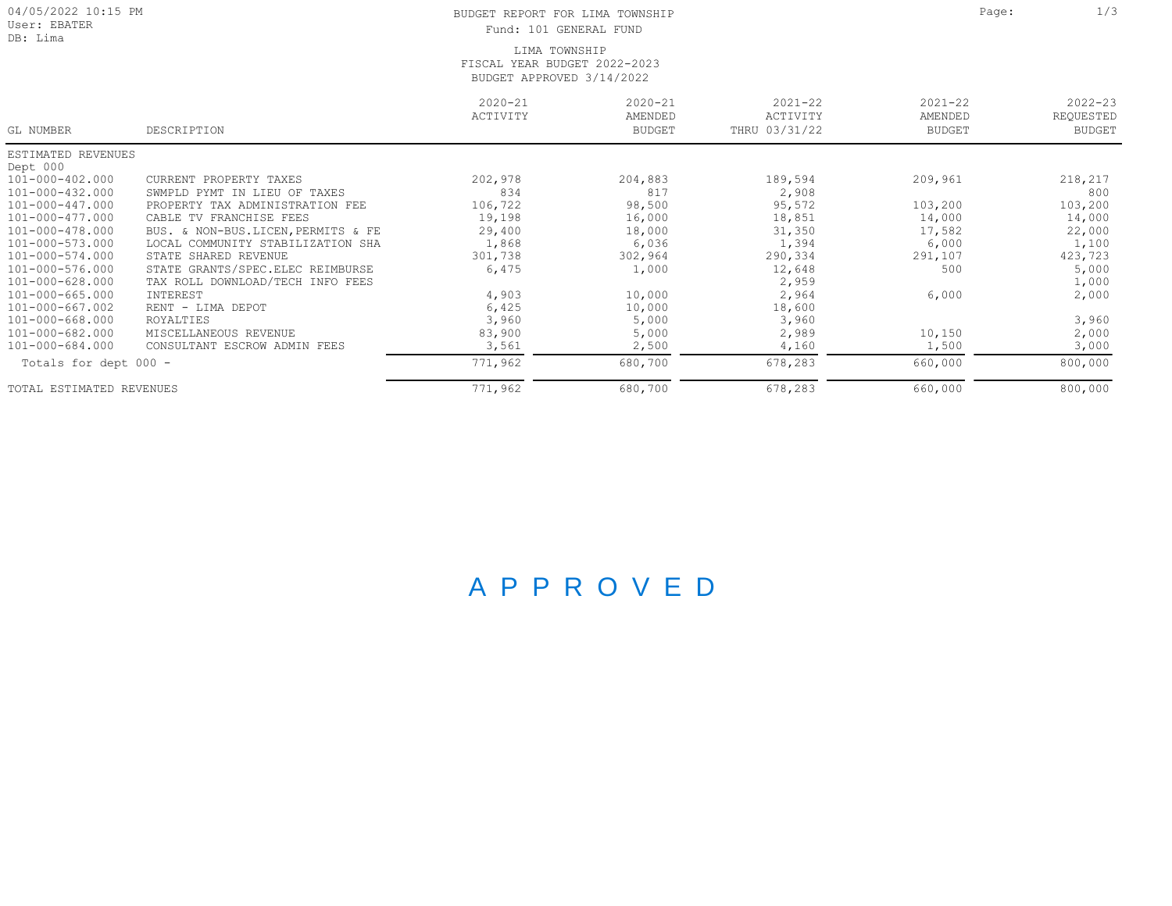| 04/05/2022 10:15 PM<br>User: EBATER<br>DB: Lima |                                       | Page:                   | 1/3                                     |                                          |                                         |                                           |
|-------------------------------------------------|---------------------------------------|-------------------------|-----------------------------------------|------------------------------------------|-----------------------------------------|-------------------------------------------|
| GL NUMBER                                       | DESCRIPTION                           | $2020 - 21$<br>ACTIVITY | $2020 - 21$<br>AMENDED<br><b>BUDGET</b> | $2021 - 22$<br>ACTIVITY<br>THRU 03/31/22 | $2021 - 22$<br>AMENDED<br><b>BUDGET</b> | $2022 - 23$<br>REQUESTED<br><b>BUDGET</b> |
| ESTIMATED REVENUES                              |                                       |                         |                                         |                                          |                                         |                                           |
| Dept 000                                        |                                       |                         |                                         |                                          |                                         |                                           |
| 101-000-402.000                                 | CURRENT PROPERTY TAXES                | 202,978                 | 204,883                                 | 189,594                                  | 209,961                                 | 218,217                                   |
| 101-000-432.000                                 | SWMPLD PYMT<br>IN LIEU OF TAXES       | 834                     | 817                                     | 2,908                                    |                                         | 800                                       |
| 101-000-447.000                                 | PROPERTY TAX ADMINISTRATION FEE       | 106,722                 | 98,500                                  | 95,572                                   | 103,200                                 | 103,200                                   |
| 101-000-477.000                                 | CABLE<br>TV FRANCHISE FEES            | 19,198                  | 16,000                                  | 18,851                                   | 14,000                                  | 14,000                                    |
| 101-000-478.000                                 | NON-BUS.LICEN, PERMITS & FE<br>BUS. & | 29,400                  | 18,000                                  | 31,350                                   | 17,582                                  | 22,000                                    |
| 101-000-573.000                                 | LOCAL COMMUNITY STABILIZATION SHA     | 1,868                   | 6,036                                   | 1,394                                    | 6,000                                   | 1,100                                     |
| 101-000-574.000                                 | STATE SHARED REVENUE                  | 301,738                 | 302,964                                 | 290,334                                  | 291,107                                 | 423,723                                   |
| 101-000-576.000                                 | STATE GRANTS/SPEC.ELEC REIMBURSE      | 6,475                   | 1,000                                   | 12,648                                   | 500                                     | 5,000                                     |
| $101 - 000 - 628.000$                           | TAX ROLL DOWNLOAD/TECH INFO FEES      |                         |                                         | 2,959                                    |                                         | 1,000                                     |
| 101-000-665.000                                 | INTEREST                              | 4,903                   | 10,000                                  | 2,964                                    | 6,000                                   | 2,000                                     |
| $101 - 000 - 667.002$                           | RENT - LIMA DEPOT                     | 6,425                   | 10,000                                  | 18,600                                   |                                         |                                           |
| $101 - 000 - 668.000$                           | ROYALTIES                             | 3,960                   | 5,000                                   | 3,960                                    |                                         | 3,960                                     |
| 101-000-682.000                                 | MISCELLANEOUS REVENUE                 | 83,900                  | 5,000                                   | 2,989                                    | 10,150                                  | 2,000                                     |
| 101-000-684.000                                 | CONSULTANT ESCROW ADMIN FEES          | 3,561                   | 2,500                                   | 4,160                                    | 1,500                                   | 3,000                                     |
| Totals for dept 000 -                           |                                       | 771,962                 | 680,700                                 | 678,283                                  | 660,000                                 | 800,000                                   |
| TOTAL ESTIMATED REVENUES                        |                                       | 771,962                 | 680,700                                 | 678,283                                  | 660,000                                 | 800,000                                   |

## A P P R O V E D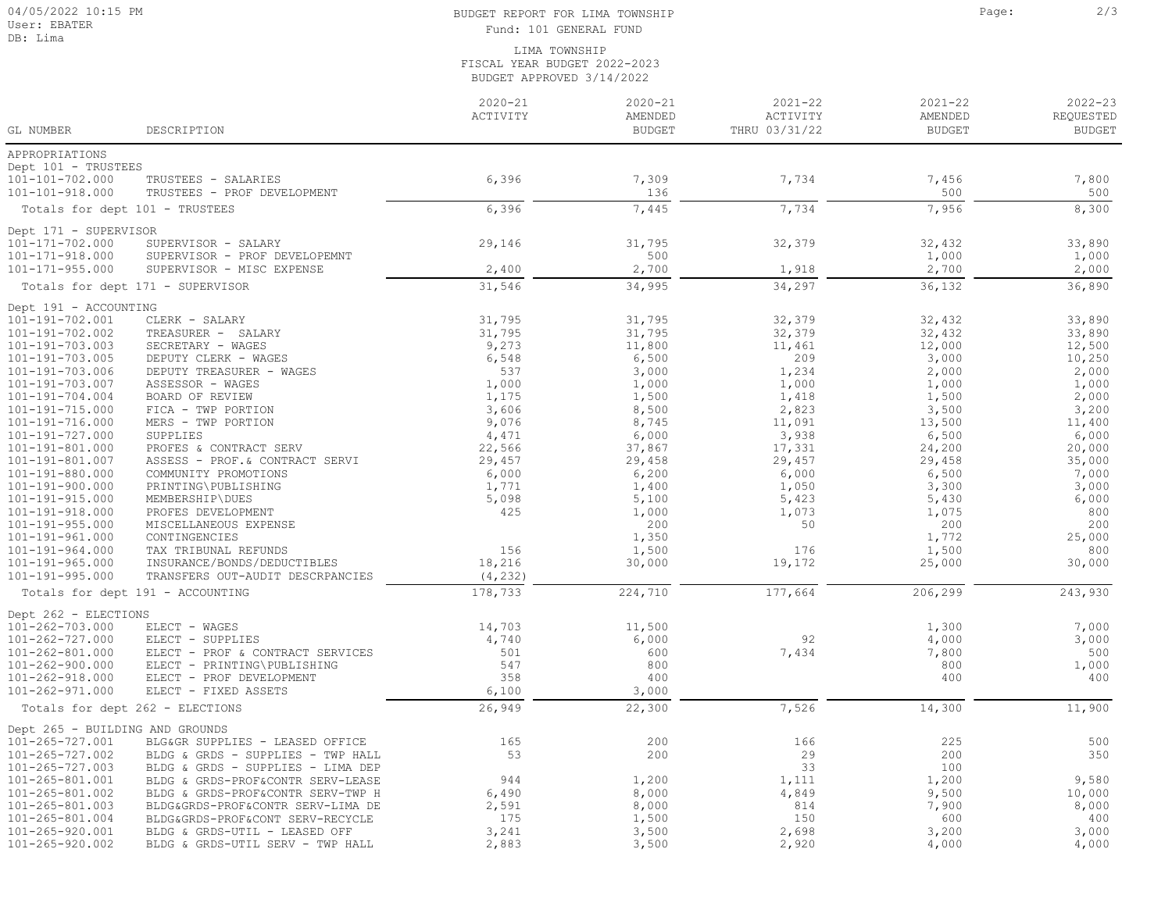## BUDGET REPORT FOR LIMA TOWNSHIP **Page:** 2/3 Fund: 101 GENERAL FUND

LIMA TOWNSHIP FISCAL YEAR BUDGET 2022-2023 BUDGET APPROVED 3/14/2022

| GL NUMBER                                | DESCRIPTION                                                          | $2020 - 21$<br>ACTIVITY | $2020 - 21$<br>AMENDED<br><b>BUDGET</b> | $2021 - 22$<br>ACTIVITY<br>THRU 03/31/22 | $2021 - 22$<br>AMENDED<br><b>BUDGET</b> | $2022 - 23$<br>REQUESTED<br><b>BUDGET</b> |
|------------------------------------------|----------------------------------------------------------------------|-------------------------|-----------------------------------------|------------------------------------------|-----------------------------------------|-------------------------------------------|
| APPROPRIATIONS                           |                                                                      |                         |                                         |                                          |                                         |                                           |
| Dept 101 - TRUSTEES                      |                                                                      |                         |                                         |                                          |                                         |                                           |
| 101-101-702.000                          | TRUSTEES - SALARIES                                                  | 6,396                   | 7,309                                   | 7,734                                    | 7,456                                   | 7,800                                     |
| 101-101-918.000                          | TRUSTEES - PROF DEVELOPMENT                                          |                         | 136                                     |                                          | 500                                     | 500                                       |
|                                          | Totals for dept 101 - TRUSTEES                                       | 6,396                   | 7,445                                   | 7,734                                    | 7,956                                   | 8,300                                     |
| Dept 171 - SUPERVISOR                    |                                                                      |                         |                                         |                                          |                                         |                                           |
| 101-171-702.000                          | SUPERVISOR - SALARY                                                  | 29,146                  | 31,795                                  | 32,379                                   | 32,432                                  | 33,890                                    |
| 101-171-918.000                          | SUPERVISOR - PROF DEVELOPEMNT                                        |                         | 500                                     |                                          | 1,000                                   | 1,000                                     |
| $101 - 171 - 955.000$                    | SUPERVISOR - MISC EXPENSE                                            | 2,400                   | 2,700                                   | 1,918                                    | 2,700                                   | 2,000                                     |
|                                          | Totals for dept 171 - SUPERVISOR                                     | 31,546                  | 34,995                                  | 34,297                                   | 36,132                                  | 36,890                                    |
| Dept 191 - ACCOUNTING                    |                                                                      |                         |                                         |                                          |                                         |                                           |
| 101-191-702.001                          | CLERK - SALARY                                                       | 31,795                  | 31,795                                  | 32,379                                   | 32,432                                  | 33,890                                    |
| 101-191-702.002                          | TREASURER - SALARY                                                   | 31,795                  | 31,795                                  | 32,379                                   | 32,432                                  | 33,890                                    |
| 101-191-703.003                          | SECRETARY - WAGES                                                    | 9,273                   | 11,800                                  | 11,461                                   | 12,000                                  | 12,500                                    |
| 101-191-703.005                          | DEPUTY CLERK - WAGES                                                 | 6,548                   | 6,500                                   | 209                                      | 3,000                                   | 10,250                                    |
| 101-191-703.006                          | DEPUTY TREASURER - WAGES                                             | 537                     | 3,000                                   | 1,234                                    | 2,000                                   | 2,000                                     |
| 101-191-703.007                          | ASSESSOR - WAGES                                                     | 1,000                   | 1,000                                   | 1,000                                    | 1,000                                   | 1,000                                     |
| 101-191-704.004                          | BOARD OF REVIEW                                                      | 1,175                   | 1,500                                   | 1,418                                    | 1,500                                   | 2,000                                     |
| 101-191-715.000                          | FICA - TWP PORTION                                                   | 3,606                   | 8,500                                   | 2,823                                    | 3,500                                   | 3,200                                     |
| 101-191-716.000                          | MERS - TWP PORTION                                                   | 9,076                   | 8,745                                   | 11,091                                   | 13,500                                  | 11,400                                    |
| 101-191-727.000                          | SUPPLIES                                                             | 4,471                   | 6,000                                   | 3,938                                    | 6,500                                   | 6,000                                     |
| 101-191-801.000                          | PROFES & CONTRACT SERV                                               | 22,566                  | 37,867                                  | 17,331                                   | 24,200                                  | 20,000                                    |
| 101-191-801.007                          | ASSESS - PROF.& CONTRACT SERVI                                       | 29,457                  | 29,458                                  | 29,457                                   | 29,458                                  | 35,000                                    |
| 101-191-880.000                          | COMMUNITY PROMOTIONS                                                 | 6,000                   | 6,200                                   | 6,000                                    | 6,500                                   | 7,000                                     |
| 101-191-900.000                          | PRINTING\PUBLISHING                                                  | 1,771                   | 1,400                                   | 1,050                                    | 3,300                                   | 3,000                                     |
| 101-191-915.000                          | MEMBERSHIP\DUES                                                      | 5,098                   | 5,100                                   | 5,423                                    | 5,430                                   | 6,000                                     |
| 101-191-918.000                          | PROFES DEVELOPMENT                                                   | 425                     | 1,000                                   | 1,073                                    | 1,075                                   | 800                                       |
| $101 - 191 - 955.000$                    | MISCELLANEOUS EXPENSE                                                |                         | 200                                     | 50                                       | 200                                     | 200                                       |
| 101-191-961.000                          | CONTINGENCIES                                                        | 156                     | 1,350                                   |                                          | 1,772                                   | 25,000                                    |
| 101-191-964.000<br>$101 - 191 - 965.000$ | TAX TRIBUNAL REFUNDS<br>INSURANCE/BONDS/DEDUCTIBLES                  | 18,216                  | 1,500<br>30,000                         | 176                                      | 1,500                                   | 800<br>30,000                             |
| 101-191-995.000                          | TRANSFERS OUT-AUDIT DESCRPANCIES                                     | (4, 232)                |                                         | 19,172                                   | 25,000                                  |                                           |
|                                          | Totals for dept 191 - ACCOUNTING                                     | 178,733                 | 224,710                                 | 177,664                                  | 206,299                                 | 243,930                                   |
|                                          |                                                                      |                         |                                         |                                          |                                         |                                           |
| Dept 262 - ELECTIONS                     |                                                                      |                         |                                         |                                          |                                         |                                           |
| 101-262-703.000                          | ELECT - WAGES                                                        | 14,703                  | 11,500                                  | 92                                       | 1,300                                   | 7,000                                     |
| 101-262-727.000<br>101-262-801.000       | ELECT - SUPPLIES<br>ELECT - PROF & CONTRACT SERVICES                 | 4,740<br>501            | 6,000<br>600                            | 7,434                                    | 4,000<br>7,800                          | 3,000<br>500                              |
| 101-262-900.000                          | ELECT - PRINTING\PUBLISHING                                          | 547                     | 800                                     |                                          | 800                                     | 1,000                                     |
| 101-262-918.000                          | ELECT - PROF DEVELOPMENT                                             | 358                     | 400                                     |                                          | 400                                     | 400                                       |
| 101-262-971.000                          | ELECT - FIXED ASSETS                                                 | 6,100                   | 3,000                                   |                                          |                                         |                                           |
|                                          | Totals for dept 262 - ELECTIONS                                      | 26,949                  | 22,300                                  | 7,526                                    | 14,300                                  | 11,900                                    |
|                                          |                                                                      |                         |                                         |                                          |                                         |                                           |
| Dept 265 - BUILDING AND GROUNDS          |                                                                      | 165                     | 200                                     |                                          |                                         |                                           |
| 101-265-727.001<br>101-265-727.002       | BLG&GR SUPPLIES - LEASED OFFICE<br>BLDG & GRDS - SUPPLIES - TWP HALL | 53                      | 200                                     | 166<br>29                                | 225<br>200                              | 500<br>350                                |
| 101-265-727.003                          | BLDG & GRDS - SUPPLIES - LIMA DEP                                    |                         |                                         | 33                                       | 100                                     |                                           |
| 101-265-801.001                          | BLDG & GRDS-PROF&CONTR SERV-LEASE                                    | 944                     | 1,200                                   | 1,111                                    | 1,200                                   | 9,580                                     |
| 101-265-801.002                          | BLDG & GRDS-PROF&CONTR SERV-TWP H                                    | 6,490                   | 8,000                                   | 4,849                                    | 9,500                                   | 10,000                                    |
| 101-265-801.003                          | BLDG&GRDS-PROF&CONTR SERV-LIMA DE                                    | 2,591                   | 8,000                                   | 814                                      | 7,900                                   | 8,000                                     |
| 101-265-801.004                          | BLDG&GRDS-PROF&CONT SERV-RECYCLE                                     | 175                     | 1,500                                   | 150                                      | 600                                     | 400                                       |
| 101-265-920.001                          | BLDG & GRDS-UTIL - LEASED OFF                                        | 3,241                   | 3,500                                   | 2,698                                    | 3,200                                   | 3,000                                     |
| 101-265-920.002                          | BLDG & GRDS-UTIL SERV - TWP HALL                                     | 2,883                   | 3,500                                   | 2,920                                    | 4,000                                   | 4,000                                     |